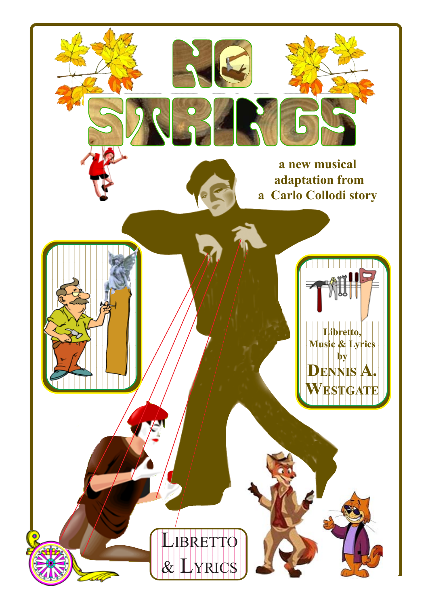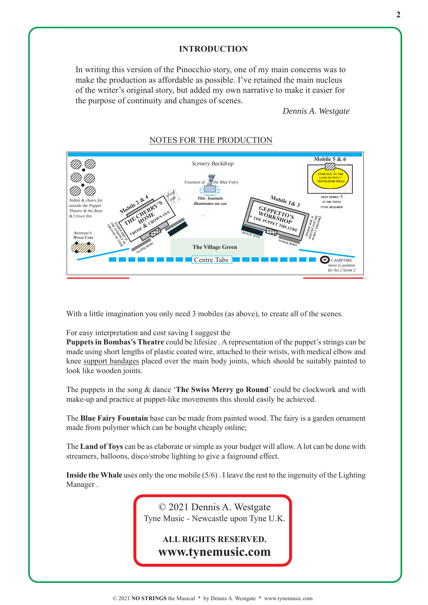#### **INTRODUCTION**

In writing this version of the Pinocchio story, one of my main concerns was to make the production as affordable as possible. I've retained the main nucleus of the writer's original story, but added my own narrative to make it easier for the purpose of continuity and changes of scenes.

*Dennis A. Westgate*



#### NOTES FOR THE PRODUCTION

With a little imagination you only need 3 mobiles (as above), to create all of the scenes.

For easy interpretation and cost saving I suggest the

**Puppets in Bombas's Theatre** could be lifesize . A representation of the puppet's strings can be made using short lengths of plastic coated wire, attached to their wrists, with medical elbow and knee support bandages placed over the main body joints, which should be suitably painted to look like wooden joints.

The puppets in the song & dance '**The Swiss Merry go Round**' could be clockwork and with make-up and practice at puppet-like movements this should easily be achieved.

The **Blue Fairy Fountain** base can be made from painted wood. The fairy is a garden ornament made from polymer which can be bought cheaply online;

The **Land of Toys** can be as elaborate or simple as your budget will allow. A lot can be done with streamers, balloons, disco/strobe lighting to give a faiground effect.

**Inside the Whale** uses only the one mobile (5/6) . I leave the rest to the ingenuity of the Lighting Manager .

> © 2021 Dennis A. Westgate Tyne Music - Newcastle upon Tyne U.K.

### **ALL RIGHTS RESERVED. www.tynemusic.com**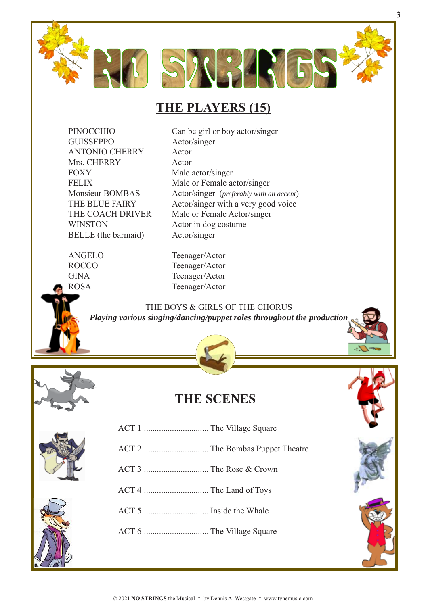

## **THE PLAYERS (15)**

PINOCCHIO Can be girl or boy actor/singer GUISSEPPO Actor/singer ANTONIO CHERRY Actor Mrs. CHERRY Actor FOXY Male actor/singer WINSTON Actor in dog costume BELLE (the barmaid) Actor/singer

FELIX Male or Female actor/singer Monsieur BOMBAS Actor/singer (*preferably with an accent*) THE BLUE FAIRY Actor/singer with a very good voice THE COACH DRIVER Male or Female Actor/singer

ANGELO Teenager/Actor ROCCO Teenager/Actor GINA Teenager/Actor ROSA Teenager/Actor

THE BOYS & GIRLS OF THE CHORUS

*Playing various singing/dancing/puppet roles throughout the production*



**THE SCENES**



- ACT 5 .............................. Inside the Whale
- ACT 6 .............................. The Village Square

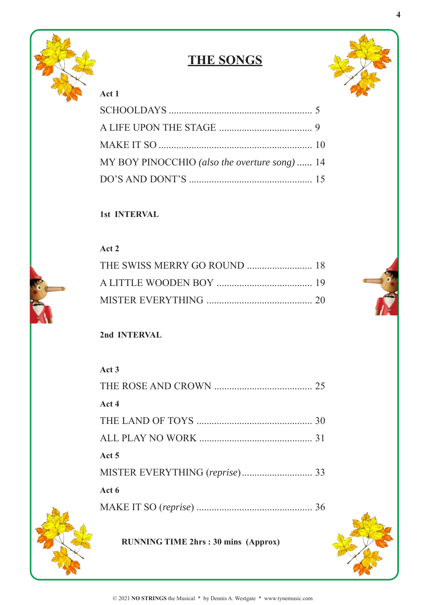

## **THE SONGS**



### **Act 1**

| MY BOY PINOCCHIO (also the overture song) 14 |  |
|----------------------------------------------|--|
|                                              |  |

### **1st INTERVAL**

### **Act 2**

### **2nd INTERVAL**

## **Act 3** THE ROSE AND CROWN ....................................... 25 **Act 4** THE LAND OF TOYS .............................................. 30 ALL PLAY NO WORK ............................................. 31 **Act 5** MISTER EVERYTHING (*reprise*)............................ 33 **Act 6** MAKE IT SO (*reprise*) .............................................. 36

 **RUNNING TIME 2hrs : 30 mins (Approx)**

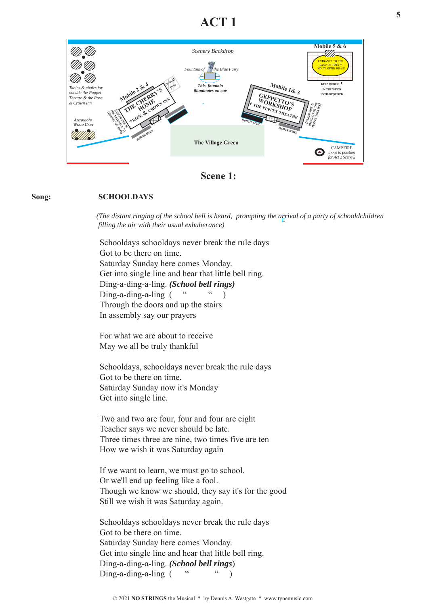## **ACT 1**



**Scene 1:**

#### **Song: SCHOOLDAYS**

*(The distant ringing of the school bell is heard, prompting the arrival of a party of schooldchildren* 12  *filling the air with their usual exhuberance)*

Schooldays schooldays never break the rule days Got to be there on time. Saturday Sunday here comes Monday. Get into single line and hear that little bell ring. Ding-a-ding-a-ling. *(School bell rings)*  $Ding-a-ding-a-ling$  (" ") Through the doors and up the stairs In assembly say our prayers

For what we are about to receive May we all be truly thankful

Schooldays, schooldays never break the rule days Got to be there on time. Saturday Sunday now it's Monday Get into single line.

Two and two are four, four and four are eight Teacher says we never should be late. Three times three are nine, two times five are ten How we wish it was Saturday again

If we want to learn, we must go to school. Or we'll end up feeling like a fool. Though we know we should, they say it's for the good Still we wish it was Saturday again.

Schooldays schooldays never break the rule days Got to be there on time. Saturday Sunday here comes Monday. Get into single line and hear that little bell ring. Ding-a-ding-a-ling. *(School bell rings*)  $\text{Ding-a-ding-a-ling}$  ( " " )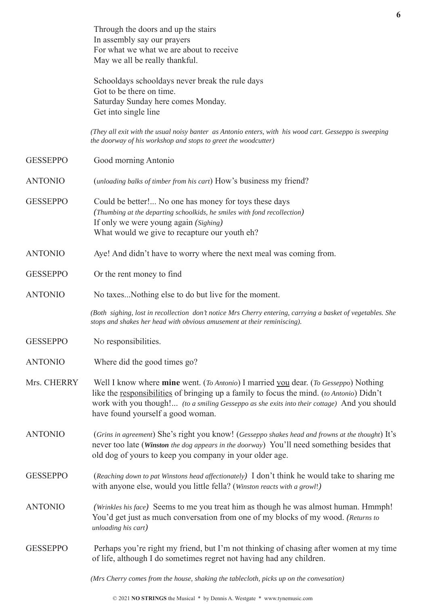|                 | Through the doors and up the stairs<br>In assembly say our prayers<br>For what we what we are about to receive<br>May we all be really thankful.                                                                                                                                                                     |
|-----------------|----------------------------------------------------------------------------------------------------------------------------------------------------------------------------------------------------------------------------------------------------------------------------------------------------------------------|
|                 | Schooldays schooldays never break the rule days<br>Got to be there on time.<br>Saturday Sunday here comes Monday.<br>Get into single line                                                                                                                                                                            |
|                 | (They all exit with the usual noisy banter as Antonio enters, with his wood cart. Gesseppo is sweeping<br>the doorway of his workshop and stops to greet the woodcutter)                                                                                                                                             |
| <b>GESSEPPO</b> | Good morning Antonio                                                                                                                                                                                                                                                                                                 |
| <b>ANTONIO</b>  | (unloading balks of timber from his cart) How's business my friend?                                                                                                                                                                                                                                                  |
| <b>GESSEPPO</b> | Could be better! No one has money for toys these days<br>(Thumbing at the departing schoolkids, he smiles with fond recollection)<br>If only we were young again (Sighing)<br>What would we give to recapture our youth eh?                                                                                          |
| <b>ANTONIO</b>  | Aye! And didn't have to worry where the next meal was coming from.                                                                                                                                                                                                                                                   |
| <b>GESSEPPO</b> | Or the rent money to find                                                                                                                                                                                                                                                                                            |
| <b>ANTONIO</b>  | No taxesNothing else to do but live for the moment.                                                                                                                                                                                                                                                                  |
|                 | (Both sighing, lost in recollection don't notice Mrs Cherry entering, carrying a basket of vegetables. She<br>stops and shakes her head with obvious amusement at their reminiscing).                                                                                                                                |
| <b>GESSEPPO</b> | No responsibilities.                                                                                                                                                                                                                                                                                                 |
| <b>ANTONIO</b>  | Where did the good times go?                                                                                                                                                                                                                                                                                         |
| Mrs. CHERRY     | Well I know where mine went. (To Antonio) I married you dear. (To Gesseppo) Nothing<br>like the responsibilities of bringing up a family to focus the mind. (to Antonio) Didn't<br>work with you though! (to a smiling Gesseppo as she exits into their cottage) And you should<br>have found yourself a good woman. |
| <b>ANTONIO</b>  | (Grins in agreement) She's right you know! (Gesseppo shakes head and frowns at the thought) It's<br>never too late (Winston the dog appears in the doorway) You'll need something besides that<br>old dog of yours to keep you company in your older age.                                                            |
| <b>GESSEPPO</b> | (Reaching down to pat Winstons head affectionately) I don't think he would take to sharing me<br>with anyone else, would you little fella? (Winston reacts with a growl!)                                                                                                                                            |
| <b>ANTONIO</b>  | (Wrinkles his face) Seems to me you treat him as though he was almost human. Hmmph!<br>You'd get just as much conversation from one of my blocks of my wood. (Returns to<br>unloading his cart)                                                                                                                      |
| <b>GESSEPPO</b> | Perhaps you're right my friend, but I'm not thinking of chasing after women at my time<br>of life, although I do sometimes regret not having had any children.                                                                                                                                                       |
|                 | (Mrs Cherry comes from the house, shaking the tablecloth, picks up on the convesation)                                                                                                                                                                                                                               |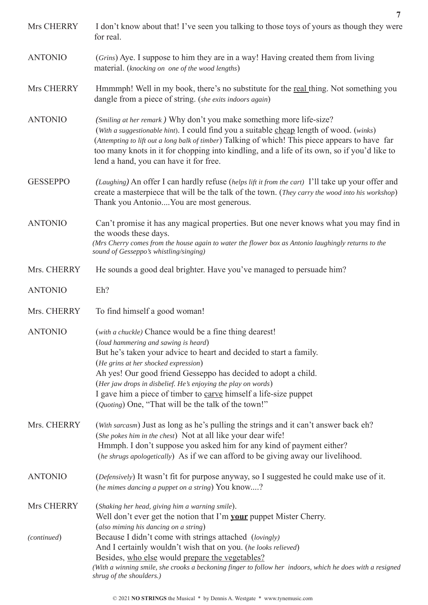|                 | 7                                                                                                                                                                                                                                                                                                                                                                                                                                                                          |
|-----------------|----------------------------------------------------------------------------------------------------------------------------------------------------------------------------------------------------------------------------------------------------------------------------------------------------------------------------------------------------------------------------------------------------------------------------------------------------------------------------|
| Mrs CHERRY      | I don't know about that! I've seen you talking to those toys of yours as though they were<br>for real.                                                                                                                                                                                                                                                                                                                                                                     |
| <b>ANTONIO</b>  | (Grins) Aye. I suppose to him they are in a way! Having created them from living<br>material. (knocking on one of the wood lengths)                                                                                                                                                                                                                                                                                                                                        |
| Mrs CHERRY      | Hmmmph! Well in my book, there's no substitute for the real thing. Not something you<br>dangle from a piece of string. (she exits indoors again)                                                                                                                                                                                                                                                                                                                           |
| <b>ANTONIO</b>  | (Smiling at her remark) Why don't you make something more life-size?<br>(With a suggestionable hint). I could find you a suitable cheap length of wood. (winks)<br>(Attempting to lift out a long balk of timber) Talking of which! This piece appears to have far<br>too many knots in it for chopping into kindling, and a life of its own, so if you'd like to<br>lend a hand, you can have it for free.                                                                |
| <b>GESSEPPO</b> | (Laughing) An offer I can hardly refuse (helps lift it from the cart) I'll take up your offer and<br>create a masterpiece that will be the talk of the town. (They carry the wood into his workshop)<br>Thank you AntonioYou are most generous.                                                                                                                                                                                                                            |
| <b>ANTONIO</b>  | Can't promise it has any magical properties. But one never knows what you may find in<br>the woods these days.<br>(Mrs Cherry comes from the house again to water the flower box as Antonio laughingly returns to the<br>sound of Gesseppo's whistling/singing)                                                                                                                                                                                                            |
| Mrs. CHERRY     | He sounds a good deal brighter. Have you've managed to persuade him?                                                                                                                                                                                                                                                                                                                                                                                                       |
| <b>ANTONIO</b>  | Eh?                                                                                                                                                                                                                                                                                                                                                                                                                                                                        |
| Mrs. CHERRY     | To find himself a good woman!                                                                                                                                                                                                                                                                                                                                                                                                                                              |
| <b>ANTONIO</b>  | (with a chuckle) Chance would be a fine thing dearest!<br>(loud hammering and sawing is heard)<br>But he's taken your advice to heart and decided to start a family.<br>(He grins at her shocked expression)<br>Ah yes! Our good friend Gesseppo has decided to adopt a child.<br>(Her jaw drops in disbelief. He's enjoying the play on words)<br>I gave him a piece of timber to carve himself a life-size puppet<br>(Quoting) One, "That will be the talk of the town!" |
| Mrs. CHERRY     | (With sarcasm) Just as long as he's pulling the strings and it can't answer back eh?<br>(She pokes him in the chest) Not at all like your dear wife!<br>Hmmph. I don't suppose you asked him for any kind of payment either?<br>(he shrugs apologetically) As if we can afford to be giving away our livelihood.                                                                                                                                                           |
| <b>ANTONIO</b>  | (Defensively) It wasn't fit for purpose anyway, so I suggested he could make use of it.<br>(he mimes dancing a puppet on a string) You know?                                                                                                                                                                                                                                                                                                                               |
| Mrs CHERRY      | (Shaking her head, giving him a warning smile).<br>Well don't ever get the notion that I'm <b>your</b> puppet Mister Cherry.                                                                                                                                                                                                                                                                                                                                               |
| (continued)     | (also miming his dancing on a string)<br>Because I didn't come with strings attached (lovingly)<br>And I certainly wouldn't wish that on you. (he looks relieved)<br>Besides, who else would prepare the vegetables?<br>(With a winning smile, she crooks a beckoning finger to follow her indoors, which he does with a resigned<br>shrug of the shoulders.)                                                                                                              |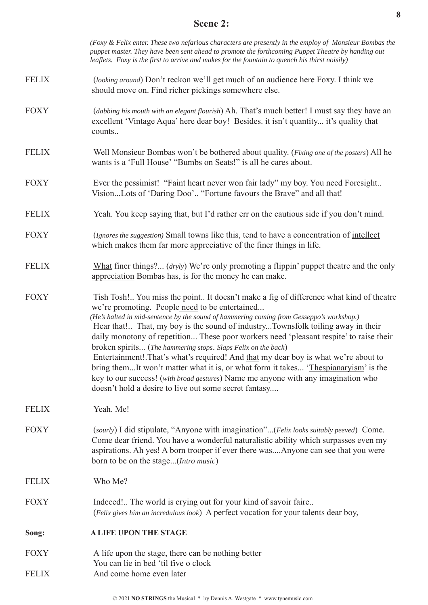### **Scene 2:**

|              | (Foxy & Felix enter. These two nefarious characters are presently in the employ of Monsieur Bombas the<br>puppet master. They have been sent ahead to promote the forthcoming Puppet Theatre by handing out<br>leaflets. Foxy is the first to arrive and makes for the fountain to quench his thirst noisily)                                                                                                                                                                                                                                                                                                                                                                                                                                                                                                 |
|--------------|---------------------------------------------------------------------------------------------------------------------------------------------------------------------------------------------------------------------------------------------------------------------------------------------------------------------------------------------------------------------------------------------------------------------------------------------------------------------------------------------------------------------------------------------------------------------------------------------------------------------------------------------------------------------------------------------------------------------------------------------------------------------------------------------------------------|
| <b>FELIX</b> | (looking around) Don't reckon we'll get much of an audience here Foxy. I think we<br>should move on. Find richer pickings somewhere else.                                                                                                                                                                                                                                                                                                                                                                                                                                                                                                                                                                                                                                                                     |
| <b>FOXY</b>  | (dabbing his mouth with an elegant flourish) Ah. That's much better! I must say they have an<br>excellent 'Vintage Aqua' here dear boy! Besides. it isn't quantity it's quality that<br>counts                                                                                                                                                                                                                                                                                                                                                                                                                                                                                                                                                                                                                |
| <b>FELIX</b> | Well Monsieur Bombas won't be bothered about quality. (Fixing one of the posters) All he<br>wants is a 'Full House' "Bumbs on Seats!" is all he cares about.                                                                                                                                                                                                                                                                                                                                                                                                                                                                                                                                                                                                                                                  |
| <b>FOXY</b>  | Ever the pessimist! "Faint heart never won fair lady" my boy. You need Foresight<br>VisionLots of 'Daring Doo' "Fortune favours the Brave" and all that!                                                                                                                                                                                                                                                                                                                                                                                                                                                                                                                                                                                                                                                      |
| <b>FELIX</b> | Yeah. You keep saying that, but I'd rather err on the cautious side if you don't mind.                                                                                                                                                                                                                                                                                                                                                                                                                                                                                                                                                                                                                                                                                                                        |
| <b>FOXY</b>  | (Ignores the suggestion) Small towns like this, tend to have a concentration of intellect<br>which makes them far more appreciative of the finer things in life.                                                                                                                                                                                                                                                                                                                                                                                                                                                                                                                                                                                                                                              |
| <b>FELIX</b> | What finer things? $(dryly)$ We're only promoting a flippin' puppet theatre and the only<br>appreciation Bombas has, is for the money he can make.                                                                                                                                                                                                                                                                                                                                                                                                                                                                                                                                                                                                                                                            |
| <b>FOXY</b>  | Tish Tosh! You miss the point It doesn't make a fig of difference what kind of theatre<br>we're promoting. People need to be entertained<br>(He's halted in mid-sentence by the sound of hammering coming from Gesseppo's workshop.)<br>Hear that! That, my boy is the sound of industryTownsfolk toiling away in their<br>daily monotony of repetition These poor workers need 'pleasant respite' to raise their<br>broken spirits (The hammering stops. Slaps Felix on the back)<br>Entertainment!.That's what's required! And that my dear boy is what we're about to<br>bring themIt won't matter what it is, or what form it takes 'Thespianaryism' is the<br>key to our success! (with broad gestures) Name me anyone with any imagination who<br>doesn't hold a desire to live out some secret fantasy |
| <b>FELIX</b> | Yeah. Me!                                                                                                                                                                                                                                                                                                                                                                                                                                                                                                                                                                                                                                                                                                                                                                                                     |
| <b>FOXY</b>  | (sourly) I did stipulate, "Anyone with imagination"(Felix looks suitably peeved) Come.<br>Come dear friend. You have a wonderful naturalistic ability which surpasses even my<br>aspirations. Ah yes! A born trooper if ever there wasAnyone can see that you were<br>born to be on the stage(Intro music)                                                                                                                                                                                                                                                                                                                                                                                                                                                                                                    |
| <b>FELIX</b> | Who Me?                                                                                                                                                                                                                                                                                                                                                                                                                                                                                                                                                                                                                                                                                                                                                                                                       |
| <b>FOXY</b>  | Indeeed! The world is crying out for your kind of savoir faire<br>(Felix gives him an incredulous look) A perfect vocation for your talents dear boy,                                                                                                                                                                                                                                                                                                                                                                                                                                                                                                                                                                                                                                                         |
| Song:        | A LIFE UPON THE STAGE                                                                                                                                                                                                                                                                                                                                                                                                                                                                                                                                                                                                                                                                                                                                                                                         |
| <b>FOXY</b>  | A life upon the stage, there can be nothing better                                                                                                                                                                                                                                                                                                                                                                                                                                                                                                                                                                                                                                                                                                                                                            |
| <b>FELIX</b> | You can lie in bed 'til five o clock<br>And come home even later                                                                                                                                                                                                                                                                                                                                                                                                                                                                                                                                                                                                                                                                                                                                              |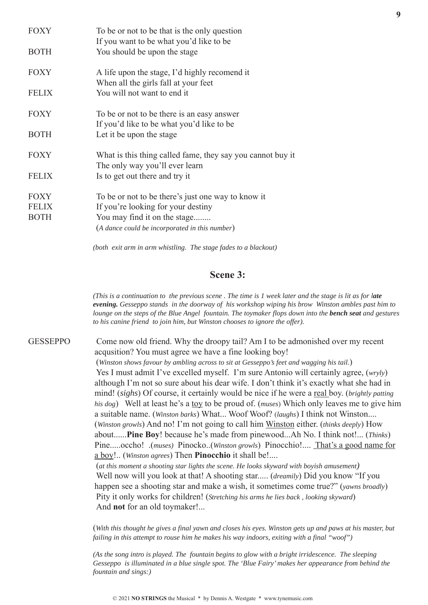| <b>FOXY</b>  | To be or not to be that is the only question               |
|--------------|------------------------------------------------------------|
|              | If you want to be what you'd like to be                    |
| <b>BOTH</b>  | You should be upon the stage                               |
| <b>FOXY</b>  | A life upon the stage, I'd highly recomend it              |
|              | When all the girls fall at your feet                       |
| <b>FELIX</b> | You will not want to end it                                |
| <b>FOXY</b>  | To be or not to be there is an easy answer                 |
|              | If you'd like to be what you'd like to be                  |
| <b>BOTH</b>  | Let it be upon the stage                                   |
| <b>FOXY</b>  | What is this thing called fame, they say you cannot buy it |
|              | The only way you'll ever learn                             |
| <b>FELIX</b> | Is to get out there and try it                             |
| <b>FOXY</b>  | To be or not to be there's just one way to know it         |
| <b>FELIX</b> | If you're looking for your destiny                         |
| <b>BOTH</b>  | You may find it on the stage                               |
|              | (A dance could be incorporated in this number)             |
|              |                                                            |

*(both exit arm in arm whistling. The stage fades to a blackout)*

#### **Scene 3:**

*(This is a continuation to the previous scene . The time is 1 week later and the stage is lit as for late evening. Gesseppo stands in the doorway of his workshop wiping his brow Winston ambles past him to lounge on the steps of the Blue Angel fountain. The toymaker flops down into the bench seat and gestures to his canine friend to join him, but Winston chooses to ignore the offer).*

GESSEPPO Come now old friend. Why the droopy tail? Am I to be admonished over my recent acqusition? You must agree we have a fine looking boy!

> (*Winston shows favour by ambling across to sit at Gesseppo's feet and wagging his tail.*) Yes I must admit I've excelled myself. I'm sure Antonio will certainly agree, (*wryly*) although I'm not so sure about his dear wife. I don't think it's exactly what she had in mind! (*sighs*) Of course, it certainly would be nice if he were a real boy. (*brightly patting his dog*) Well at least he's a toy to be proud of. (*muses*) Which only leaves me to give him a suitable name. (*Winston barks*) What... Woof Woof? (*laughs*) I think not Winston.... (*Winston growls*) And no! I'm not going to call him Winston either. (*thinks deeply*) How about......**Pine Boy**! because he's made from pinewood...Ah No. I think not!... (*Thinks*) Pine.....occho! .(*muses)* Pinocko..(*Winston growls*) Pinocchio!.... That's a good name for a boy!.. (*Winston agrees*) Then **Pinocchio** it shall be!....

(*at this moment a shooting star lights the scene. He looks skyward with boyish amusement)* Well now will you look at that! A shooting star..... (*dreamily*) Did you know "If you happen see a shooting star and make a wish, it sometimes come true?" (*yawns broadly*) Pity it only works for children! (*Stretching his arms he lies back , looking skyward*) And **not** for an old toymaker!...

(*With this thought he gives a final yawn and closes his eyes. Winston gets up and paws at his master, but failing in this attempt to rouse him he makes his way indoors, exiting with a final "woof")*

*(As the song intro is played. The fountain begins to glow with a bright irridescence. The sleeping Gesseppo is illuminated in a blue single spot. The 'Blue Fairy' makes her appearance from behind the fountain and sings:)*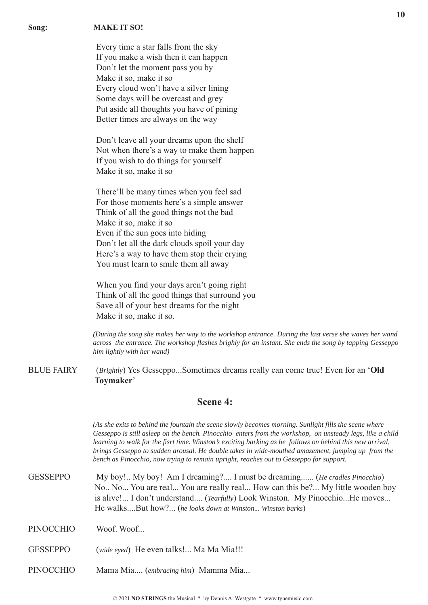#### **Song: MAKE IT SO!**

Every time a star falls from the sky If you make a wish then it can happen Don't let the moment pass you by Make it so, make it so Every cloud won't have a silver lining Some days will be overcast and grey Put aside all thoughts you have of pining Better times are always on the way

Don't leave all your dreams upon the shelf Not when there's a way to make them happen If you wish to do things for yourself Make it so, make it so

There'll be many times when you feel sad For those moments here's a simple answer Think of all the good things not the bad Make it so, make it so Even if the sun goes into hiding Don't let all the dark clouds spoil your day Here's a way to have them stop their crying You must learn to smile them all away

When you find your days aren't going right Think of all the good things that surround you Save all of your best dreams for the night Make it so, make it so.

*(During the song she makes her way to the workshop entrance. During the last verse she waves her wand across the entrance. The workshop flashes brighly for an instant. She ends the song by tapping Gesseppo him lightly with her wand)*

BLUE FAIRY (*Brightly*) Yes Gesseppo...Sometimes dreams really can come true! Even for an '**Old Toymaker**'

#### **Scene 4:**

*(As she exits to behind the fountain the scene slowly becomes morning. Sunlight fills the scene where Gesseppo is still asleep on the bench. Pinocchio enters from the workshop, on unsteady legs, like a child learning to walk for the fisrt time. Winston's exciting barking as he follows on behind this new arrival, brings Gesseppo to sudden arousal. He double takes in wide-mouthed amazement, jumping up from the bench as Pinocchio, now trying to remain upright, reaches out to Gesseppo for support.*

- GESSEPPO My boy!.. My boy! Am I dreaming?.... I must be dreaming...... (*He cradles Pinocchio*) No.. No... You are real... You are really real... How can this be?... My little wooden boy is alive!... I don't understand.... (*Tearfully*) Look Winston. My Pinocchio...He moves... He walks....But how?... (*he looks down at Winston... Winston barks*)
- PINOCCHIO Woof. Woof...
- GESSEPPO (*wide eyed*) He even talks!... Ma Ma Mia!!!
- PINOCCHIO Mama Mia.... (*embracing him*) Mamma Mia...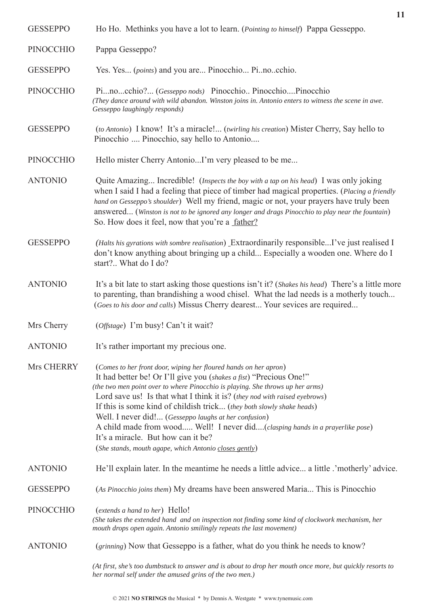| <b>GESSEPPO</b>  | Ho Ho. Methinks you have a lot to learn. (Pointing to himself) Pappa Gesseppo.                                                                                                                                                                                                                                                                                                                                                                                                                                                                                                                                                    |
|------------------|-----------------------------------------------------------------------------------------------------------------------------------------------------------------------------------------------------------------------------------------------------------------------------------------------------------------------------------------------------------------------------------------------------------------------------------------------------------------------------------------------------------------------------------------------------------------------------------------------------------------------------------|
| <b>PINOCCHIO</b> | Pappa Gesseppo?                                                                                                                                                                                                                                                                                                                                                                                                                                                                                                                                                                                                                   |
| <b>GESSEPPO</b>  | Yes. Yes ( <i>points</i> ) and you are Pinocchio Pinocchio.                                                                                                                                                                                                                                                                                                                                                                                                                                                                                                                                                                       |
| <b>PINOCCHIO</b> | Pinocchio? (Gesseppo nods) Pinocchio PinocchioPinocchio<br>(They dance around with wild abandon. Winston joins in. Antonio enters to witness the scene in awe.<br>Gesseppo laughingly responds)                                                                                                                                                                                                                                                                                                                                                                                                                                   |
| <b>GESSEPPO</b>  | (to Antonio) I know! It's a miracle! (twirling his creation) Mister Cherry, Say hello to<br>Pinocchio  Pinocchio, say hello to Antonio                                                                                                                                                                                                                                                                                                                                                                                                                                                                                            |
| <b>PINOCCHIO</b> | Hello mister Cherry AntonioI'm very pleased to be me                                                                                                                                                                                                                                                                                                                                                                                                                                                                                                                                                                              |
| <b>ANTONIO</b>   | Quite Amazing Incredible! (Inspects the boy with a tap on his head) I was only joking<br>when I said I had a feeling that piece of timber had magical properties. (Placing a friendly<br>hand on Gesseppo's shoulder) Well my friend, magic or not, your prayers have truly been<br>answered (Winston is not to be ignored any longer and drags Pinocchio to play near the fountain)<br>So. How does it feel, now that you're a <u>father?</u>                                                                                                                                                                                    |
| <b>GESSEPPO</b>  | (Halts his gyrations with sombre realisation) Extraordinarily responsibleI've just realised I<br>don't know anything about bringing up a child Especially a wooden one. Where do I<br>start? What do I do?                                                                                                                                                                                                                                                                                                                                                                                                                        |
| <b>ANTONIO</b>   | It's a bit late to start asking those questions isn't it? (Shakes his head) There's a little more<br>to parenting, than brandishing a wood chisel. What the lad needs is a motherly touch<br>(Goes to his door and calls) Missus Cherry dearest Your sevices are required                                                                                                                                                                                                                                                                                                                                                         |
| Mrs Cherry       | (Offstage) I'm busy! Can't it wait?                                                                                                                                                                                                                                                                                                                                                                                                                                                                                                                                                                                               |
| <b>ANTONIO</b>   | It's rather important my precious one.                                                                                                                                                                                                                                                                                                                                                                                                                                                                                                                                                                                            |
| Mrs CHERRY       | (Comes to her front door, wiping her floured hands on her apron)<br>It had better be! Or I'll give you (shakes a fist) "Precious One!"<br>(the two men point over to where Pinocchio is playing. She throws up her arms)<br>Lord save us! Is that what I think it is? (they nod with raised eyebrows)<br>If this is some kind of childish trick (they both slowly shake heads)<br>Well. I never did! (Gesseppo laughs at her confusion)<br>A child made from wood Well! I never did( <i>clasping hands in a prayerlike pose</i> )<br>It's a miracle. But how can it be?<br>(She stands, mouth agape, which Antonio closes gently) |
| <b>ANTONIO</b>   | He'll explain later. In the meantime he needs a little advice a little .'motherly' advice.                                                                                                                                                                                                                                                                                                                                                                                                                                                                                                                                        |
| <b>GESSEPPO</b>  | (As Pinocchio joins them) My dreams have been answered Maria This is Pinocchio                                                                                                                                                                                                                                                                                                                                                                                                                                                                                                                                                    |
| <b>PINOCCHIO</b> | (extends a hand to her) Hello!<br>(She takes the extended hand and on inspection not finding some kind of clockwork mechanism, her<br>mouth drops open again. Antonio smilingly repeats the last movement)                                                                                                                                                                                                                                                                                                                                                                                                                        |
| <b>ANTONIO</b>   | (grinning) Now that Gesseppo is a father, what do you think he needs to know?                                                                                                                                                                                                                                                                                                                                                                                                                                                                                                                                                     |
|                  | (At first, she's too dumbstuck to answer and is about to drop her mouth once more, but quickly resorts to<br>her normal self under the amused grins of the two men.)                                                                                                                                                                                                                                                                                                                                                                                                                                                              |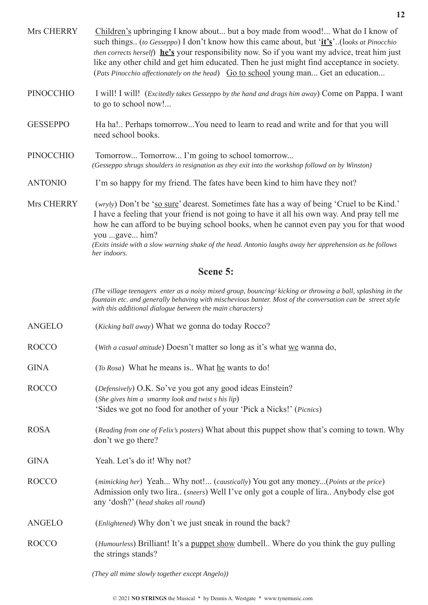| Mrs CHERRY       | Children's upbringing I know about but a boy made from wood! What do I know of<br>such things (to Gesseppo) I don't know how this came about, but 'it's'(looks at Pinocchio<br>then corrects herself) he's your responsibility now. So if you want my advice, treat him just<br>like any other child and get him educated. Then he just might find acceptance in society.<br>(Pats Pinocchio affectionately on the head) Go to school young man Get an education |
|------------------|------------------------------------------------------------------------------------------------------------------------------------------------------------------------------------------------------------------------------------------------------------------------------------------------------------------------------------------------------------------------------------------------------------------------------------------------------------------|
| <b>PINOCCHIO</b> | I will! I will! ( <i>Excitedly takes Gesseppo by the hand and drags him away</i> ) Come on Pappa. I want<br>to go to school now!                                                                                                                                                                                                                                                                                                                                 |
| <b>GESSEPPO</b>  | Ha ha! Perhaps tomorrowYou need to learn to read and write and for that you will<br>need school books.                                                                                                                                                                                                                                                                                                                                                           |
| <b>PINOCCHIO</b> | Tomorrow Tomorrow I'm going to school tomorrow<br>(Gesseppo shrugs shoulders in resignation as they exit into the workshop followd on by Winston)                                                                                                                                                                                                                                                                                                                |
| <b>ANTONIO</b>   | I'm so happy for my friend. The fates have been kind to him have they not?                                                                                                                                                                                                                                                                                                                                                                                       |
| Mrs CHERRY       | (wryly) Don't be 'so sure' dearest. Sometimes fate has a way of being 'Cruel to be Kind.'<br>I have a feeling that your friend is not going to have it all his own way. And pray tell me<br>how he can afford to be buying school books, when he cannot even pay you for that wood<br>you gave him?<br>(Exits inside with a slow warning shake of the head. Antonio laughs away her apprehension as he follows<br>her indoors.                                   |
|                  | Scene 5:                                                                                                                                                                                                                                                                                                                                                                                                                                                         |
|                  | (The village teenagers enter as a noisy mixed group, bouncing/kicking or throwing a ball, splashing in the<br>fountain etc. and generally behaving with mischevious banter. Most of the conversation can be street style<br>with this additional dialogue between the main characters)                                                                                                                                                                           |

- ANGELO (*Kicking ball away*) What we gonna do today Rocco?
- ROCCO (*With a casual attitude*) Doesn't matter so long as it's what we wanna do,
- GINA (*To Rosa*) What he means is.. What <u>he</u> wants to do!
- ROCCO (*Defensively*) O.K. So've you got any good ideas Einstein? (*She gives him a smarmy look and twist s his lip*) 'Sides we got no food for another of your 'Pick a Nicks!' (*Picnics*)
- ROSA (*Reading from one of Felix's posters*) What about this puppet show that's coming to town. Why don't we go there?
- GINA Yeah. Let's do it! Why not?
- ROCCO (*mimicking her*) Yeah... Why not!... (*caustically*) You got any money...(*Points at the price*) Admission only two lira.. (*sneers*) Well I've only got a couple of lira.. Anybody else got any 'dosh?' (*head shakes all round*)
- ANGELO (*Enlightened*) Why don't we just sneak in round the back?
- ROCCO (*Humourless*) Brilliant! It's a puppet show dumbell.. Where do you think the guy pulling the strings stands?

*(They all mime slowly together except Angelo))*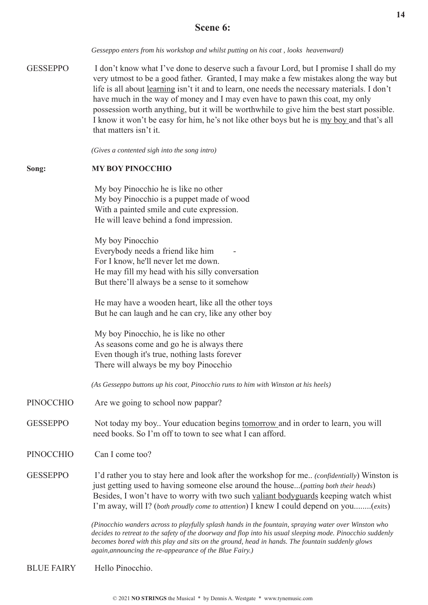#### **Scene 6:**

*Gesseppo enters from his workshop and whilst putting on his coat , looks heavenward)*

GESSEPPO I don't know what I've done to deserve such a favour Lord, but I promise I shall do my very utmost to be a good father. Granted, I may make a few mistakes along the way but life is all about learning isn't it and to learn, one needs the necessary materials. I don't have much in the way of money and I may even have to pawn this coat, my only possession worth anything, but it will be worthwhile to give him the best start possible. I know it won't be easy for him, he's not like other boys but he is my boy and that's all that matters isn't it.

*(Gives a contented sigh into the song intro)*

#### **Song: MY BOY PINOCCHIO**

My boy Pinocchio he is like no other My boy Pinocchio is a puppet made of wood With a painted smile and cute expression. He will leave behind a fond impression.

My boy Pinocchio Everybody needs a friend like him For I know, he'll never let me down. He may fill my head with his silly conversation But there'll always be a sense to it somehow

He may have a wooden heart, like all the other toys But he can laugh and he can cry, like any other boy

My boy Pinocchio, he is like no other As seasons come and go he is always there Even though it's true, nothing lasts forever There will always be my boy Pinocchio

*(As Gesseppo buttons up his coat, Pinocchio runs to him with Winston at his heels)*

- PINOCCHIO Are we going to school now pappar?
- GESSEPPO Not today my boy.. Your education begins tomorrow and in order to learn, you will need books. So I'm off to town to see what I can afford.
- PINOCCHIO Can Leome too?
- GESSEPPO I'd rather you to stay here and look after the workshop for me.. *(confidentially*) Winston is just getting used to having someone else around the house...(*patting both their heads*) Besides, I won't have to worry with two such valiant bodyguards keeping watch whist I'm away, will I? (*both proudly come to attention*) I knew I could depend on you........(*exits*)

*(Pinocchio wanders across to playfully splash hands in the fountain, spraying water over Winston who decides to retreat to the safety of the doorway and flop into his usual sleeping mode. Pinocchio suddenly becomes bored with this play and sits on the ground, head in hands. The fountain suddenly glows again,announcing the re-appearance of the Blue Fairy.)*

BLUE FAIRY Hello Pinocchio.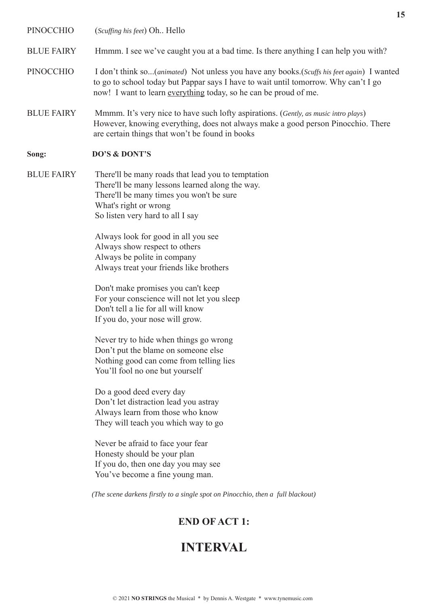PINOCCHIO (*Scuffing his feet*) Oh.. Hello

BLUE FAIRY Hmmm. I see we've caught you at a bad time. Is there anything I can help you with?

- PINOCCHIO I don't think so...(*animated*) Not unless you have any books.(*Scuffs his feet again*) I wanted to go to school today but Pappar says I have to wait until tomorrow. Why can't I go now! I want to learn everything today, so he can be proud of me.
- BLUE FAIRY Mmmm. It's very nice to have such lofty aspirations. (*Gently, as music intro plays*) However, knowing everything, does not always make a good person Pinocchio. There are certain things that won't be found in books

#### **Song: DO'S & DONT'S**

BLUE FAIRY There'll be many roads that lead you to temptation There'll be many lessons learned along the way. There'll be many times you won't be sure What's right or wrong So listen very hard to all I say

> Always look for good in all you see Always show respect to others Always be polite in company Always treat your friends like brothers

Don't make promises you can't keep For your conscience will not let you sleep Don't tell a lie for all will know If you do, your nose will grow.

Never try to hide when things go wrong Don't put the blame on someone else Nothing good can come from telling lies You'll fool no one but yourself

Do a good deed every day Don't let distraction lead you astray Always learn from those who know They will teach you which way to go

Never be afraid to face your fear Honesty should be your plan If you do, then one day you may see You've become a fine young man.

*(The scene darkens firstly to a single spot on Pinocchio, then a full blackout)*

#### **END OF ACT 1:**

## **INTERVAL**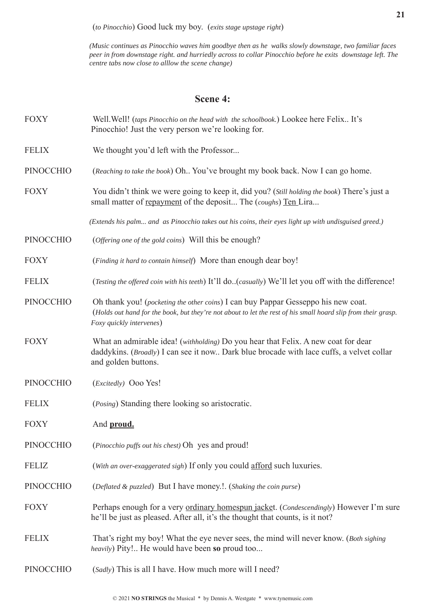(*to Pinocchio*) Good luck my boy. (*exits stage upstage right*)

*(Music continues as Pinocchio waves him goodbye then as he walks slowly downstage, two familiar faces peer in from downstage right. and hurriedly across to collar Pinocchio before he exits downstage left. The centre tabs now close to alllow the scene change)*

#### **Scene 4:**

- FOXY Well.Well! (*taps Pinocchio on the head with the schoolbook.*) Lookee here Felix.. It's Pinocchio! Just the very person we're looking for.
- FELIX We thought you'd left with the Professor...
- PINOCCHIO (*Reaching to take the book*) Oh.. You've brought my book back. Now I can go home.
- FOXY You didn't think we were going to keep it, did you? (*Still holding the book*) There's just a small matter of repayment of the deposit... The (*coughs*) Ten Lira...

*(Extends his palm... and as Pinocchio takes out his coins, their eyes light up with undisguised greed.)*

- PINOCCHIO (*Offering one of the gold coins*) Will this be enough?
- FOXY (*Finding it hard to contain himself*) More than enough dear boy!
- FELIX (*Testing the offered coin with his teeth*) It'll do..(*casually*) We'll let you off with the difference!
- PINOCCHIO Oh thank you! (*pocketing the other coins*) I can buy Pappar Gesseppo his new coat. (*Holds out hand for the book, but they're not about to let the rest of his small hoard slip from their grasp. Foxy quickly intervenes*)
- FOXY What an admirable idea! (*withholding)* Do you hear that Felix. A new coat for dear daddykins. (*Broadly*) I can see it now.. Dark blue brocade with lace cuffs, a velvet collar and golden buttons.
- PINOCCHIO (*Excitedly)* Ooo Yes!
- FELIX (*Posing*) Standing there looking so aristocratic.
- FOXY And **proud.**
- PINOCCHIO (*Pinocchio puffs out his chest)* Oh yes and proud!
- FELIZ (*With an over-exaggerated sigh*) If only you could afford such luxuries.
- PINOCCHIO (*Deflated & puzzled*) But I have money.!. (*Shaking the coin purse*)
- FOXY Perhaps enough for a very ordinary homespun jacket. (*Condescendingly*) However I'm sure he'll be just as pleased. After all, it's the thought that counts, is it not?
- FELIX That's right my boy! What the eye never sees, the mind will never know. (*Both sighing heavily*) Pity!.. He would have been **so** proud too...
- PINOCCHIO (*Sadly*) This is all I have. How much more will I need?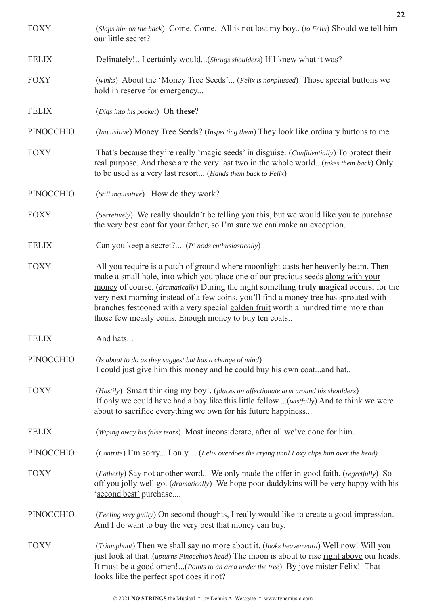| <b>FOXY</b>      | (Slaps him on the back) Come. Come. All is not lost my boy (to Felix) Should we tell him<br>our little secret?                                                                                                                                                                                                                                                                                                                                                                                             |
|------------------|------------------------------------------------------------------------------------------------------------------------------------------------------------------------------------------------------------------------------------------------------------------------------------------------------------------------------------------------------------------------------------------------------------------------------------------------------------------------------------------------------------|
| <b>FELIX</b>     | Definately! I certainly would(Shrugs shoulders) If I knew what it was?                                                                                                                                                                                                                                                                                                                                                                                                                                     |
| <b>FOXY</b>      | (winks) About the 'Money Tree Seeds' (Felix is nonplussed) Those special buttons we<br>hold in reserve for emergency                                                                                                                                                                                                                                                                                                                                                                                       |
| <b>FELIX</b>     | (Digs into his pocket) Oh these?                                                                                                                                                                                                                                                                                                                                                                                                                                                                           |
| <b>PINOCCHIO</b> | (Inquisitive) Money Tree Seeds? (Inspecting them) They look like ordinary buttons to me.                                                                                                                                                                                                                                                                                                                                                                                                                   |
| <b>FOXY</b>      | That's because they're really 'magic seeds' in disguise. (Confidentially) To protect their<br>real purpose. And those are the very last two in the whole world(takes them back) Only<br>to be used as a very last resort (Hands them back to Felix)                                                                                                                                                                                                                                                        |
| <b>PINOCCHIO</b> | ( <i>Still inquisitive</i> ) How do they work?                                                                                                                                                                                                                                                                                                                                                                                                                                                             |
| <b>FOXY</b>      | (Secretively) We really shouldn't be telling you this, but we would like you to purchase<br>the very best coat for your father, so I'm sure we can make an exception.                                                                                                                                                                                                                                                                                                                                      |
| <b>FELIX</b>     | Can you keep a secret? (P' nods enthusiastically)                                                                                                                                                                                                                                                                                                                                                                                                                                                          |
| <b>FOXY</b>      | All you require is a patch of ground where moonlight casts her heavenly beam. Then<br>make a small hole, into which you place one of our precious seeds along with your<br>money of course. (dramatically) During the night something truly magical occurs, for the<br>very next morning instead of a few coins, you'll find a money tree has sprouted with<br>branches festooned with a very special golden fruit worth a hundred time more than<br>those few measly coins. Enough money to buy ten coats |
| <b>FELIX</b>     | And hats                                                                                                                                                                                                                                                                                                                                                                                                                                                                                                   |
| <b>PINOCCHIO</b> | (Is about to do as they suggest but has a change of mind)<br>I could just give him this money and he could buy his own coatand hat                                                                                                                                                                                                                                                                                                                                                                         |
| <b>FOXY</b>      | (Hastily) Smart thinking my boy!. (places an affectionate arm around his shoulders)<br>If only we could have had a boy like this little fellow(wistfully) And to think we were<br>about to sacrifice everything we own for his future happiness                                                                                                                                                                                                                                                            |
| <b>FELIX</b>     | (Wiping away his false tears) Most inconsiderate, after all we've done for him.                                                                                                                                                                                                                                                                                                                                                                                                                            |
| <b>PINOCCHIO</b> | (Contrite) I'm sorry I only (Felix overdoes the crying until Foxy clips him over the head)                                                                                                                                                                                                                                                                                                                                                                                                                 |
| <b>FOXY</b>      | (Fatherly) Say not another word We only made the offer in good faith. (regretfully) So<br>off you jolly well go. ( <i>dramatically</i> ) We hope poor daddykins will be very happy with his<br>'second best' purchase                                                                                                                                                                                                                                                                                      |
| <b>PINOCCHIO</b> | (Feeling very guilty) On second thoughts, I really would like to create a good impression.<br>And I do want to buy the very best that money can buy.                                                                                                                                                                                                                                                                                                                                                       |
| <b>FOXY</b>      | (Triumphant) Then we shall say no more about it. (looks heavenward) Well now! Will you<br>just look at that(upturns Pinocchio's head) The moon is about to rise right above our heads.<br>It must be a good omen!(Points to an area under the tree) By jove mister Felix! That<br>looks like the perfect spot does it not?                                                                                                                                                                                 |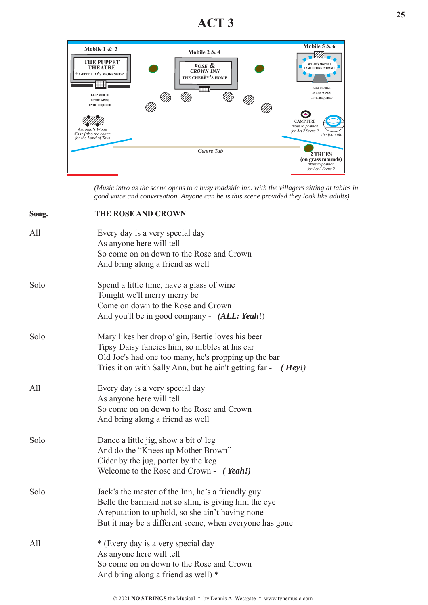## **ACT 3**



*(Music intro as the scene opens to a busy roadside inn. with the villagers sitting at tables in good voice and conversation. Anyone can be is this scene provided they look like adults)*

| Song. | <b>THE ROSE AND CROWN</b>                                                                                                                                                                                                      |
|-------|--------------------------------------------------------------------------------------------------------------------------------------------------------------------------------------------------------------------------------|
| All   | Every day is a very special day<br>As anyone here will tell<br>So come on on down to the Rose and Crown<br>And bring along a friend as well                                                                                    |
| Solo  | Spend a little time, have a glass of wine<br>Tonight we'll merry merry be<br>Come on down to the Rose and Crown<br>And you'll be in good company - (ALL: Yeah!)                                                                |
| Solo  | Mary likes her drop o' gin, Bertie loves his beer<br>Tipsy Daisy fancies him, so nibbles at his ear<br>Old Joe's had one too many, he's propping up the bar<br>Tries it on with Sally Ann, but he ain't getting far - $(Hey!)$ |
| All   | Every day is a very special day<br>As anyone here will tell<br>So come on on down to the Rose and Crown<br>And bring along a friend as well                                                                                    |
| Solo  | Dance a little jig, show a bit o' leg<br>And do the "Knees up Mother Brown"<br>Cider by the jug, porter by the keg<br>Welcome to the Rose and Crown - (Yeah!)                                                                  |
| Solo  | Jack's the master of the Inn, he's a friendly guy<br>Belle the barmaid not so slim, is giving him the eye<br>A reputation to uphold, so she ain't having none<br>But it may be a different scene, when everyone has gone       |
| All   | * (Every day is a very special day<br>As anyone here will tell<br>So come on on down to the Rose and Crown<br>And bring along a friend as well) *                                                                              |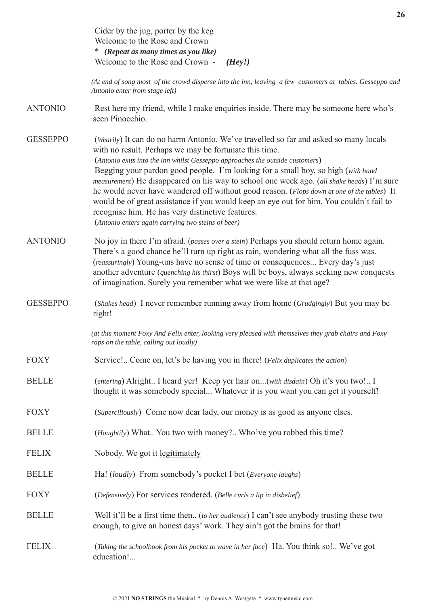|                 | Cider by the jug, porter by the keg<br>Welcome to the Rose and Crown<br>* (Repeat as many times as you like)<br>Welcome to the Rose and Crown -<br>(Hey!)                                                                                                                                                                                                                                                                                                                                                                                                                                                                                                                                                           |
|-----------------|---------------------------------------------------------------------------------------------------------------------------------------------------------------------------------------------------------------------------------------------------------------------------------------------------------------------------------------------------------------------------------------------------------------------------------------------------------------------------------------------------------------------------------------------------------------------------------------------------------------------------------------------------------------------------------------------------------------------|
|                 | (At end of song most of the crowd disperse into the inn, leaving a few customers at tables. Gesseppo and<br>Antonio enter from stage left)                                                                                                                                                                                                                                                                                                                                                                                                                                                                                                                                                                          |
| <b>ANTONIO</b>  | Rest here my friend, while I make enquiries inside. There may be someone here who's<br>seen Pinocchio.                                                                                                                                                                                                                                                                                                                                                                                                                                                                                                                                                                                                              |
| <b>GESSEPPO</b> | (Wearily) It can do no harm Antonio. We've travelled so far and asked so many locals<br>with no result. Perhaps we may be fortunate this time.<br>(Antonio exits into the inn whilst Gesseppo approaches the outside customers)<br>Begging your pardon good people. I'm looking for a small boy, so high (with hand<br>measurement) He disappeared on his way to school one week ago. (all shake heads) I'm sure<br>he would never have wandered off without good reason. (Flops down at one of the tables) It<br>would be of great assistance if you would keep an eye out for him. You couldn't fail to<br>recognise him. He has very distinctive features.<br>(Antonio enters again carrying two steins of beer) |
| <b>ANTONIO</b>  | No joy in there I'm afraid. ( <i>passes over a stein</i> ) Perhaps you should return home again.<br>There's a good chance he'll turn up right as rain, wondering what all the fuss was.<br>(reassuringly) Young-uns have no sense of time or consequences Every day's just<br>another adventure (quenching his thirst) Boys will be boys, always seeking new conquests<br>of imagination. Surely you remember what we were like at that age?                                                                                                                                                                                                                                                                        |
| <b>GESSEPPO</b> | (Shakes head) I never remember running away from home (Grudgingly) But you may be<br>right!                                                                                                                                                                                                                                                                                                                                                                                                                                                                                                                                                                                                                         |
|                 | (at this moment Foxy And Felix enter, looking very pleased with themselves they grab chairs and Foxy<br>raps on the table, calling out loudly)                                                                                                                                                                                                                                                                                                                                                                                                                                                                                                                                                                      |
| <b>FOXY</b>     | Service! Come on, let's be having you in there! (Felix duplicates the action)                                                                                                                                                                                                                                                                                                                                                                                                                                                                                                                                                                                                                                       |
| <b>BELLE</b>    | (entering) Alright I heard yer! Keep yer hair on(with disdain) Oh it's you two! I<br>thought it was somebody special Whatever it is you want you can get it yourself!                                                                                                                                                                                                                                                                                                                                                                                                                                                                                                                                               |
| <b>FOXY</b>     | (Superciliously) Come now dear lady, our money is as good as anyone elses.                                                                                                                                                                                                                                                                                                                                                                                                                                                                                                                                                                                                                                          |
| <b>BELLE</b>    | (Haughtily) What You two with money? Who've you robbed this time?                                                                                                                                                                                                                                                                                                                                                                                                                                                                                                                                                                                                                                                   |
| <b>FELIX</b>    | Nobody. We got it legitimately                                                                                                                                                                                                                                                                                                                                                                                                                                                                                                                                                                                                                                                                                      |
| <b>BELLE</b>    | Ha! (loudly) From somebody's pocket I bet (Everyone laughs)                                                                                                                                                                                                                                                                                                                                                                                                                                                                                                                                                                                                                                                         |
| <b>FOXY</b>     | (Defensively) For services rendered. (Belle curls a lip in disbelief)                                                                                                                                                                                                                                                                                                                                                                                                                                                                                                                                                                                                                                               |
| <b>BELLE</b>    | Well it'll be a first time then (to her audience) I can't see anybody trusting these two<br>enough, to give an honest days' work. They ain't got the brains for that!                                                                                                                                                                                                                                                                                                                                                                                                                                                                                                                                               |
| <b>FELIX</b>    | (Taking the schoolbook from his pocket to wave in her face) Ha. You think so! We've got<br>education!                                                                                                                                                                                                                                                                                                                                                                                                                                                                                                                                                                                                               |

**26**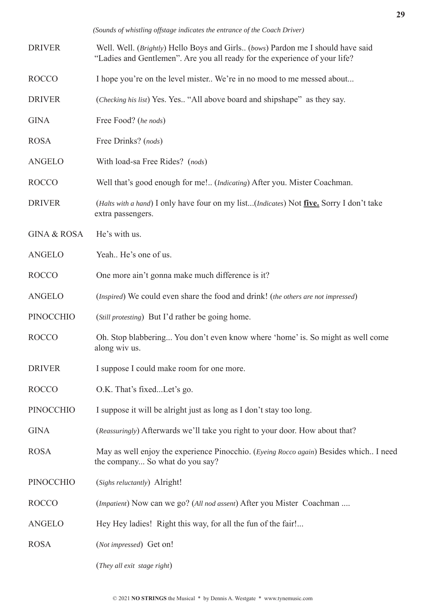| <b>DRIVER</b>          | Well. Well. (Brightly) Hello Boys and Girls (bows) Pardon me I should have said<br>"Ladies and Gentlemen". Are you all ready for the experience of your life? |
|------------------------|---------------------------------------------------------------------------------------------------------------------------------------------------------------|
| <b>ROCCO</b>           | I hope you're on the level mister We're in no mood to me messed about                                                                                         |
| <b>DRIVER</b>          | (Checking his list) Yes. Yes "All above board and shipshape" as they say.                                                                                     |
| <b>GINA</b>            | Free Food? (he nods)                                                                                                                                          |
| <b>ROSA</b>            | Free Drinks? (nods)                                                                                                                                           |
| <b>ANGELO</b>          | With load-sa Free Rides? (nods)                                                                                                                               |
| <b>ROCCO</b>           | Well that's good enough for me! (Indicating) After you. Mister Coachman.                                                                                      |
| <b>DRIVER</b>          | (Halts with a hand) I only have four on my list(Indicates) Not five. Sorry I don't take<br>extra passengers.                                                  |
| <b>GINA &amp; ROSA</b> | He's with us.                                                                                                                                                 |
| <b>ANGELO</b>          | Yeah He's one of us.                                                                                                                                          |
| <b>ROCCO</b>           | One more ain't gonna make much difference is it?                                                                                                              |
| <b>ANGELO</b>          | (Inspired) We could even share the food and drink! (the others are not impressed)                                                                             |
| <b>PINOCCHIO</b>       | ( <i>Still protesting</i> ) But I'd rather be going home.                                                                                                     |
| <b>ROCCO</b>           | Oh. Stop blabbering You don't even know where 'home' is. So might as well come<br>along wiv us.                                                               |
| <b>DRIVER</b>          | I suppose I could make room for one more.                                                                                                                     |
| <b>ROCCO</b>           | O.K. That's fixedLet's go.                                                                                                                                    |
| <b>PINOCCHIO</b>       | I suppose it will be alright just as long as I don't stay too long.                                                                                           |
| <b>GINA</b>            | (Reassuringly) Afterwards we'll take you right to your door. How about that?                                                                                  |
| <b>ROSA</b>            | May as well enjoy the experience Pinocchio. (Eyeing Rocco again) Besides which I need<br>the company So what do you say?                                      |
| <b>PINOCCHIO</b>       | (Sighs reluctantly) Alright!                                                                                                                                  |
| <b>ROCCO</b>           | (Impatient) Now can we go? (All nod assent) After you Mister Coachman                                                                                         |
| <b>ANGELO</b>          | Hey Hey ladies! Right this way, for all the fun of the fair!                                                                                                  |
| <b>ROSA</b>            | (Not impressed) Get on!                                                                                                                                       |

(*They all exit stage right*)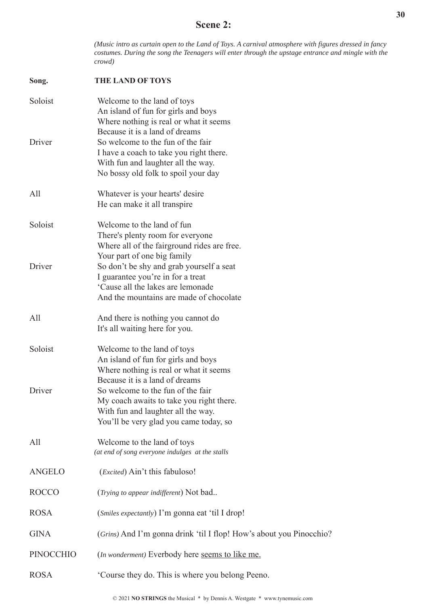### **Scene 2:**

*(Music intro as curtain open to the Land of Toys. A carnival atmosphere with figures dressed in fancy costumes. During the song the Teenagers will enter through the upstage entrance and mingle with the crowd)*

| Song.            | <b>THE LAND OF TOYS</b>                                                                                                                                                                      |
|------------------|----------------------------------------------------------------------------------------------------------------------------------------------------------------------------------------------|
| Soloist          | Welcome to the land of toys<br>An island of fun for girls and boys<br>Where nothing is real or what it seems                                                                                 |
| Driver           | Because it is a land of dreams<br>So welcome to the fun of the fair<br>I have a coach to take you right there.<br>With fun and laughter all the way.<br>No bossy old folk to spoil your day  |
| All              | Whatever is your hearts' desire<br>He can make it all transpire                                                                                                                              |
| Soloist          | Welcome to the land of fun<br>There's plenty room for everyone<br>Where all of the fairground rides are free.                                                                                |
| Driver           | Your part of one big family<br>So don't be shy and grab yourself a seat<br>I guarantee you're in for a treat<br>'Cause all the lakes are lemonade<br>And the mountains are made of chocolate |
| All              | And there is nothing you cannot do<br>It's all waiting here for you.                                                                                                                         |
| Soloist          | Welcome to the land of toys<br>An island of fun for girls and boys<br>Where nothing is real or what it seems<br>Because it is a land of dreams                                               |
| Driver           | So welcome to the fun of the fair<br>My coach awaits to take you right there.<br>With fun and laughter all the way.<br>You'll be very glad you came today, so                                |
| All              | Welcome to the land of toys<br>(at end of song everyone indulges at the stalls                                                                                                               |
| <b>ANGELO</b>    | ( <i>Excited</i> ) Ain't this fabuloso!                                                                                                                                                      |
| <b>ROCCO</b>     | (Trying to appear indifferent) Not bad                                                                                                                                                       |
| <b>ROSA</b>      | (Smiles expectantly) I'm gonna eat 'til I drop!                                                                                                                                              |
| <b>GINA</b>      | (Grins) And I'm gonna drink 'til I flop! How's about you Pinocchio?                                                                                                                          |
| <b>PINOCCHIO</b> | (In wonderment) Everbody here seems to like me.                                                                                                                                              |
| <b>ROSA</b>      | 'Course they do. This is where you belong Peeno.                                                                                                                                             |
|                  |                                                                                                                                                                                              |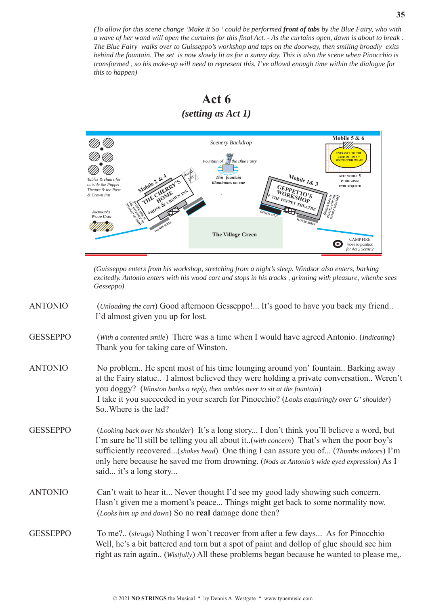*(To allow for this scene change 'Make it So ' could be performed front of tabs by the Blue Fairy, who with a wave of her wand will open the curtains for this final Act. - As the curtains open, dawn is about to break . The Blue Fairy walks over to Guisseppo's workshop and taps on the doorway, then smiling broadly exits behind the fountain. The set is now slowly lit as for a sunny day. This is also the scene when Pinocchio is transformed , so his make-up will need to represent this. I've allowd enough time within the dialogue for this to happen)*

### **Act 6** *(setting as Act 1)*



*(Guisseppo enters from his workshop, stretching from a night's sleep. Windsor also enters, barking excitedly. Antonio enters with his wood cart and stops in his tracks , grinning with pleasure, whenhe sees Gesseppo)*

- ANTONIO (*Unloading the cart*) Good afternoon Gesseppo!... It's good to have you back my friend.. I'd almost given you up for lost.
- GESSEPPO (*With a contented smile*) There was a time when I would have agreed Antonio. (*Indicating*) Thank you for taking care of Winston.
- ANTONIO No problem.. He spent most of his time lounging around yon' fountain.. Barking away at the Fairy statue.. I almost believed they were holding a private conversation.. Weren't you doggy? (*Winston barks a reply, then ambles over to sit at the fountain*) I take it you succeeded in your search for Pinocchio? (*Looks enquiringly over G' shoulder*) So..Where is the lad?
- GESSEPPO (*Looking back over his shoulder*) It's a long story... I don't think you'll believe a word, but I'm sure he'll still be telling you all about it..(*with concern*) That's when the poor boy's sufficiently recovered...(*shakes head*) One thing I can assure you of... (*Thumbs indoors*) I'm only here because he saved me from drowning. (*Nods at Antonio's wide eyed expression*) As I said... it's a long story...
- ANTONIO Can't wait to hear it... Never thought I'd see my good lady showing such concern. Hasn't given me a moment's peace... Things might get back to some normality now. (*Looks him up and down*) So no **real** damage done then?
- GESSEPPO To me?.. (*shrugs*) Nothing I won't recover from after a few days... As for Pinocchio Well, he's a bit battered and torn but a spot of paint and dollop of glue should see him right as rain again.. (*Wistfully*) All these problems began because he wanted to please me,.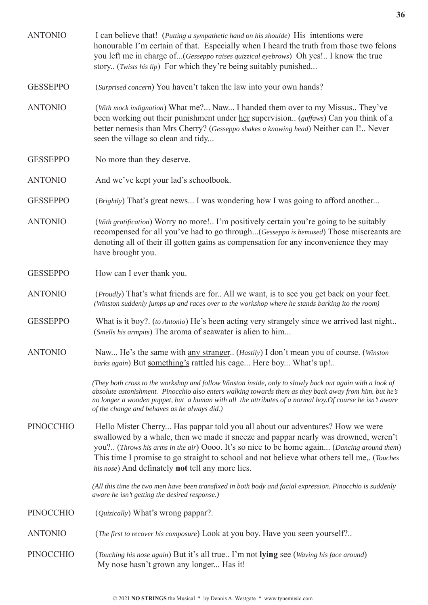| <b>ANTONIO</b>   | I can believe that! (Putting a sympathetic hand on his shoulde) His intentions were<br>honourable I'm certain of that. Especially when I heard the truth from those two felons<br>you left me in charge of(Gesseppo raises quizzical eyebrows) Oh yes! I know the true<br>story (Twists his lip) For which they're being suitably punished                                                                                    |
|------------------|-------------------------------------------------------------------------------------------------------------------------------------------------------------------------------------------------------------------------------------------------------------------------------------------------------------------------------------------------------------------------------------------------------------------------------|
| <b>GESSEPPO</b>  | (Surprised concern) You haven't taken the law into your own hands?                                                                                                                                                                                                                                                                                                                                                            |
| <b>ANTONIO</b>   | (With mock indignation) What me? Naw I handed them over to my Missus They've<br>been working out their punishment under <u>her</u> supervision ( <i>guffaws</i> ) Can you think of a<br>better nemesis than Mrs Cherry? (Gesseppo shakes a knowing head) Neither can I! Never<br>seen the village so clean and tidy                                                                                                           |
| <b>GESSEPPO</b>  | No more than they deserve.                                                                                                                                                                                                                                                                                                                                                                                                    |
| <b>ANTONIO</b>   | And we've kept your lad's schoolbook.                                                                                                                                                                                                                                                                                                                                                                                         |
| <b>GESSEPPO</b>  | (Brightly) That's great news I was wondering how I was going to afford another                                                                                                                                                                                                                                                                                                                                                |
| <b>ANTONIO</b>   | (With gratification) Worry no more! I'm positively certain you're going to be suitably<br>recompensed for all you've had to go through(Gesseppo is bemused) Those miscreants are<br>denoting all of their ill gotten gains as compensation for any inconvenience they may<br>have brought you.                                                                                                                                |
| <b>GESSEPPO</b>  | How can I ever thank you.                                                                                                                                                                                                                                                                                                                                                                                                     |
| <b>ANTONIO</b>   | (Proudly) That's what friends are for All we want, is to see you get back on your feet.<br>(Winston suddenly jumps up and races over to the workshop where he stands barking ito the room)                                                                                                                                                                                                                                    |
| <b>GESSEPPO</b>  | What is it boy?. (to Antonio) He's been acting very strangely since we arrived last night<br>(Smells his armpits) The aroma of seawater is alien to him                                                                                                                                                                                                                                                                       |
| <b>ANTONIO</b>   | Naw He's the same with any stranger (Hastily) I don't mean you of course. (Winston<br>barks again) But something's rattled his cage Here boy What's up!                                                                                                                                                                                                                                                                       |
|                  | (They both cross to the workshop and follow Winston inside, only to slowly back out again with a look of<br>absolute astonishment. Pinocchio also enters walking towards them as they back away from him. but he's<br>no longer a wooden puppet, but a human with all the attributes of a normal boy. Of course he isn't aware<br>of the change and behaves as he always did.)                                                |
| <b>PINOCCHIO</b> | Hello Mister Cherry Has pappar told you all about our adventures? How we were<br>swallowed by a whale, then we made it sneeze and pappar nearly was drowned, weren't<br>you? (Throws his arms in the air) Oooo. It's so nice to be home again (Dancing around them)<br>This time I promise to go straight to school and not believe what others tell me,. (Touches<br>his nose) And definately <b>not</b> tell any more lies. |
|                  | (All this time the two men have been transfixed in both body and facial expression. Pinocchio is suddenly<br>aware he isn't getting the desired response.)                                                                                                                                                                                                                                                                    |
| <b>PINOCCHIO</b> | (Quizically) What's wrong pappar?.                                                                                                                                                                                                                                                                                                                                                                                            |
| <b>ANTONIO</b>   | (The first to recover his composure) Look at you boy. Have you seen yourself?                                                                                                                                                                                                                                                                                                                                                 |
| <b>PINOCCHIO</b> | (Touching his nose again) But it's all true I'm not lying see (Waving his face around)<br>My nose hasn't grown any longer Has it!                                                                                                                                                                                                                                                                                             |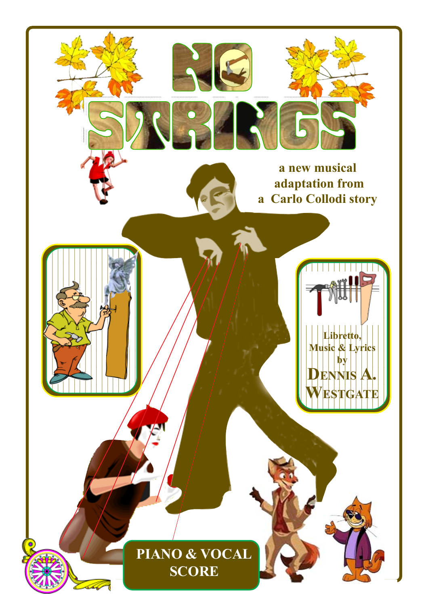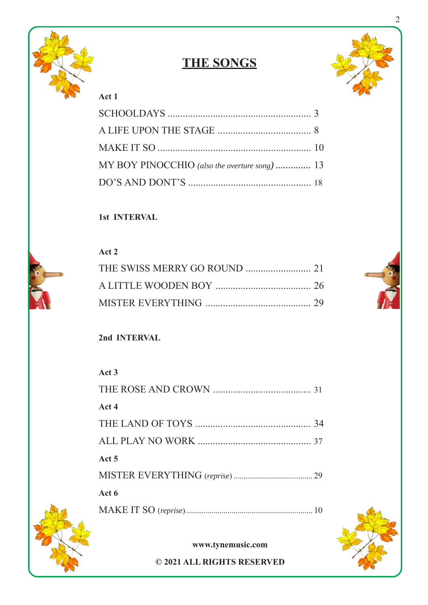

## **THE SONGS**



### **Act 1**

| MY BOY PINOCCHIO (also the overture song)  13 |  |
|-----------------------------------------------|--|
|                                               |  |

### **1st INTERVAL**



| Act 2 |  |
|-------|--|
|       |  |
|       |  |
|       |  |

### **2nd INTERVAL**

## **Act 3** THE ROSE AND CROWN ....................................... 31 **Act 4** THE LAND OF TOYS .............................................. 34 ALL PLAY NO WORK ............................................. 37 **Act 5** MISTER EVERYTHING (*reprise*) ........................................ 29 **Act 6** MAKE IT SO (*reprise*)................................................................ 10



#### **www.tynemusic.com**

#### **© 2021 ALL RIGHTS RESERVED**

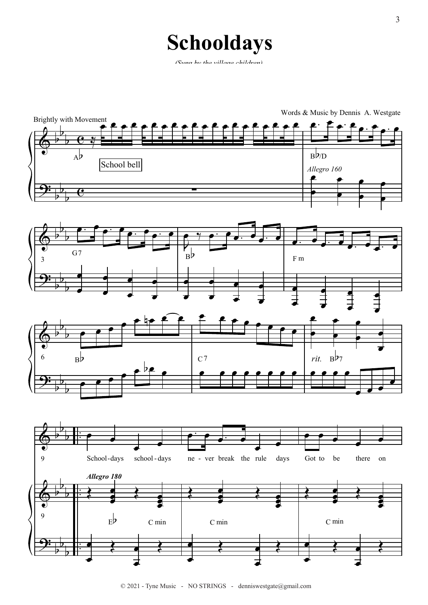# **Schooldays**

*(Sung by the village children)*



© 2021 - Tyne Music - NO STRINGS - denniswestgate@gmail.com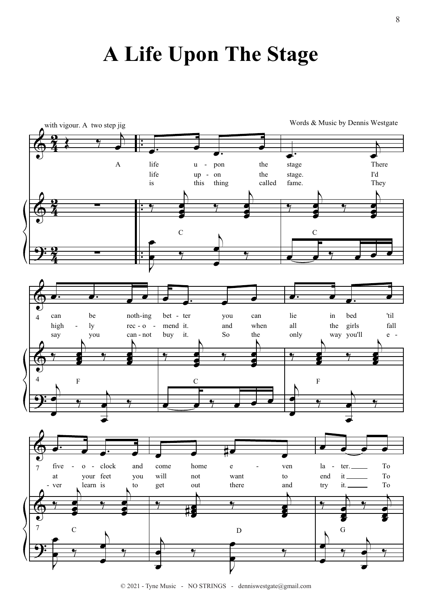## **A Life Upon The Stage**

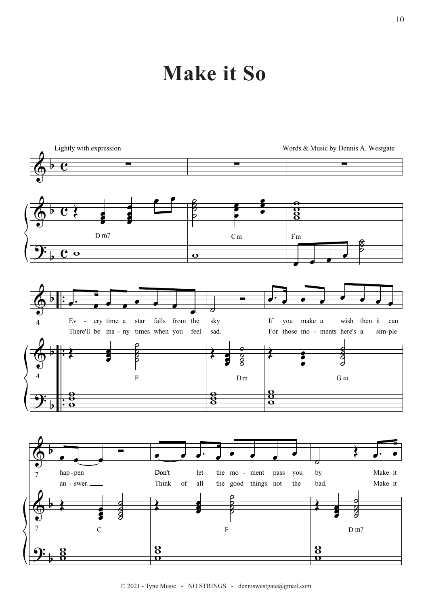## **Make it So**

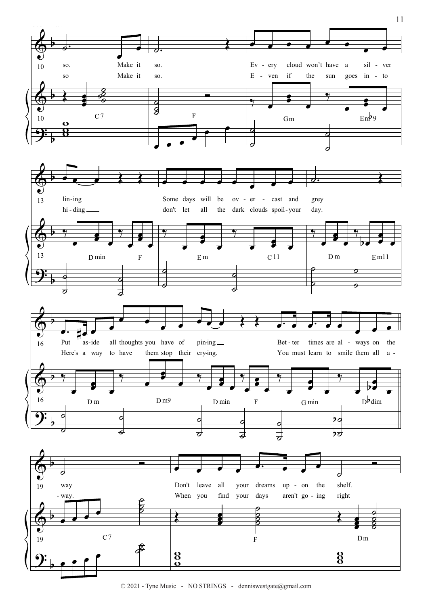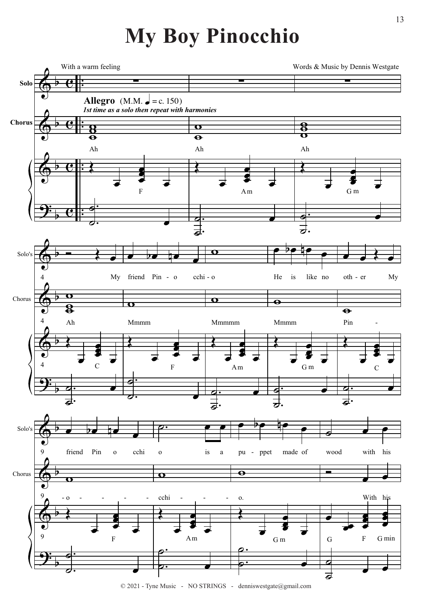## **My Boy Pinocchio**



<sup>© 2021 -</sup> Tyne Music - NO STRINGS - denniswestgate@gmail.com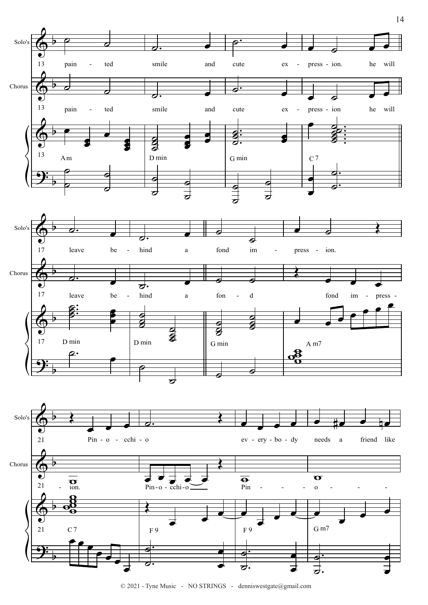

© 2021 - Tyne Music - NO STRINGS - denniswestgate@gmail.com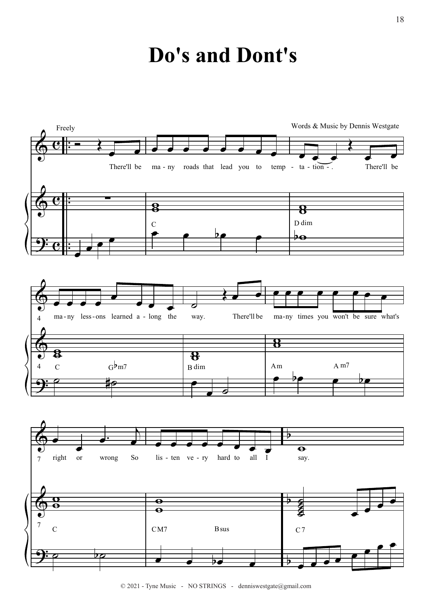## **Do's and Dont's**



<sup>© 2021 -</sup> Tyne Music - NO STRINGS - denniswestgate@gmail.com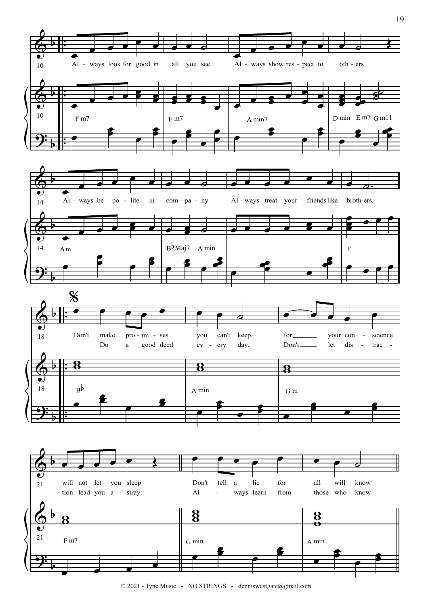

© 2021 - Tyne Music - NO STRINGS - denniswestgate@gmail.com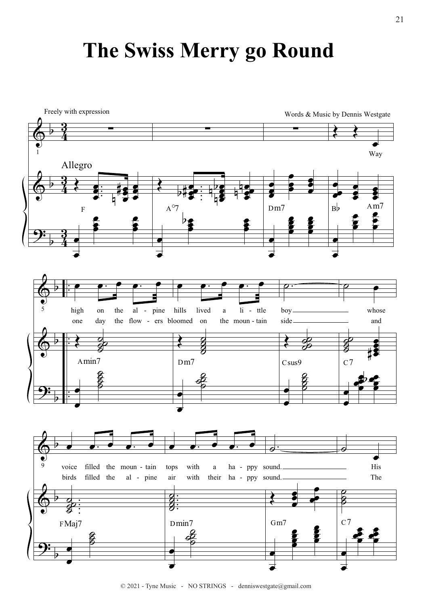## **The Swiss Merry go Round**

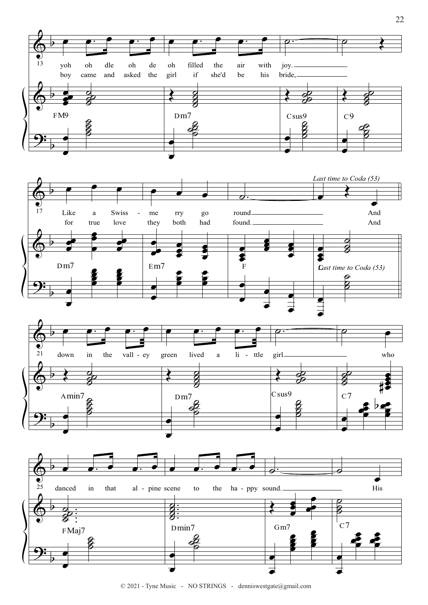

© 2021 - Tyne Music - NO STRINGS - denniswestgate@gmail.com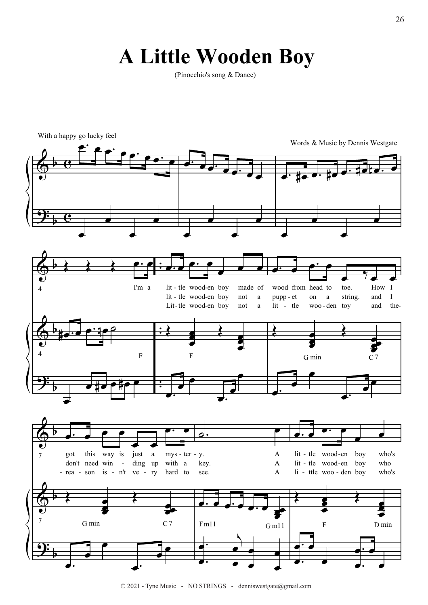## **A Little Wooden Boy**

(Pinocchio's song & Dance)

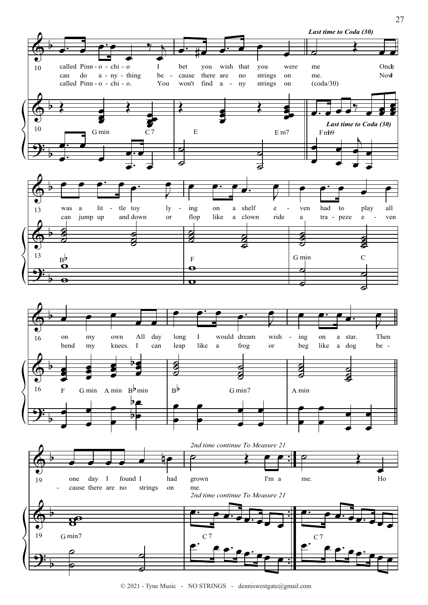

© 2021 - Tyne Music - NO STRINGS - denniswestgate@gmail.com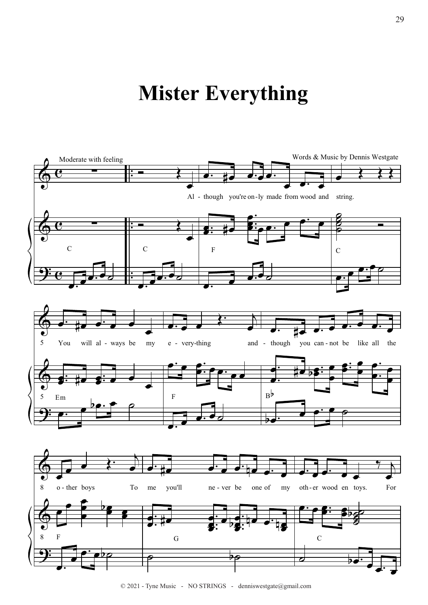## **Mister Everything**



<sup>© 2021 -</sup> Tyne Music - NO STRINGS - denniswestgate@gmail.com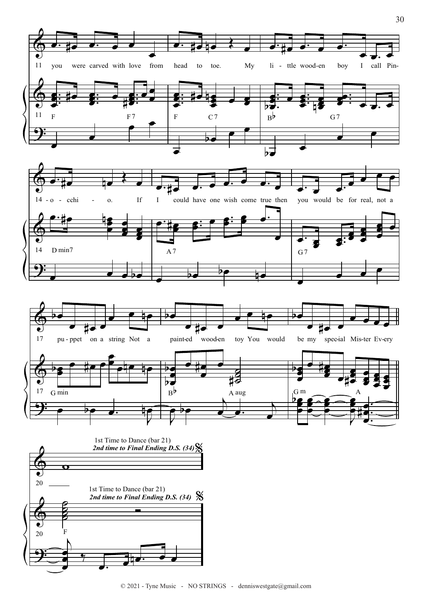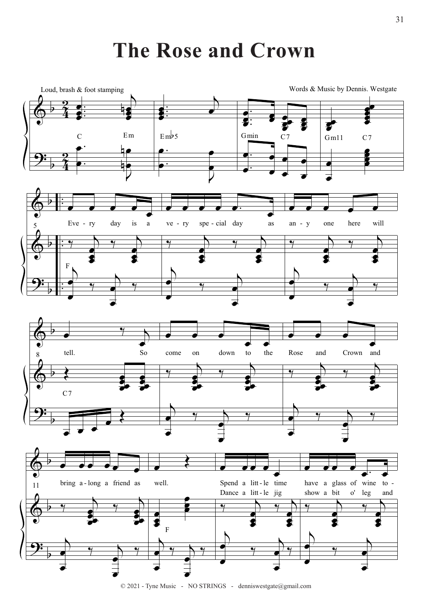**The Rose and Crown**



<sup>© 2021 -</sup> Tyne Music - NO STRINGS - denniswestgate@gmail.com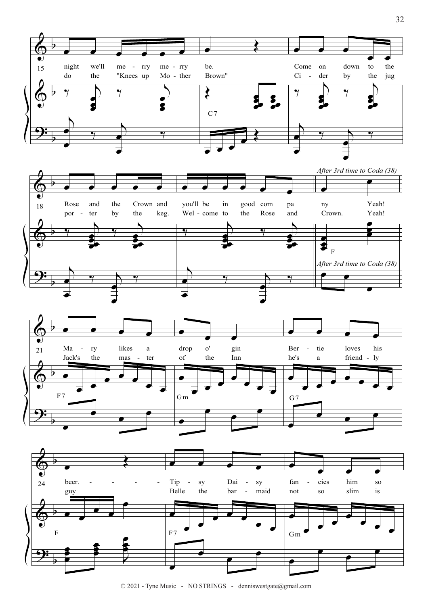



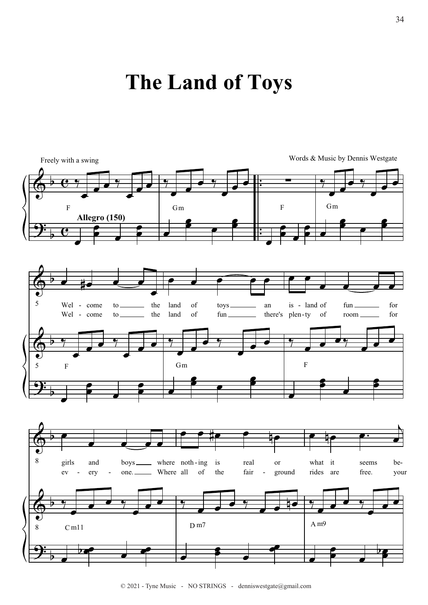## **The Land of Toys**



<sup>© 2021 -</sup> Tyne Music - NO STRINGS - denniswestgate@gmail.com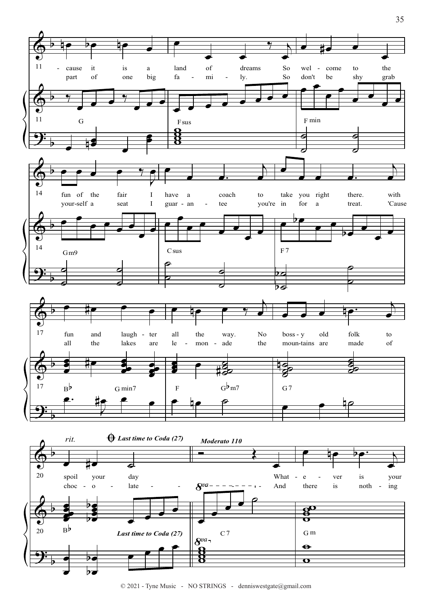

© 2021 - Tyne Music - NO STRINGS - denniswestgate@gmail.com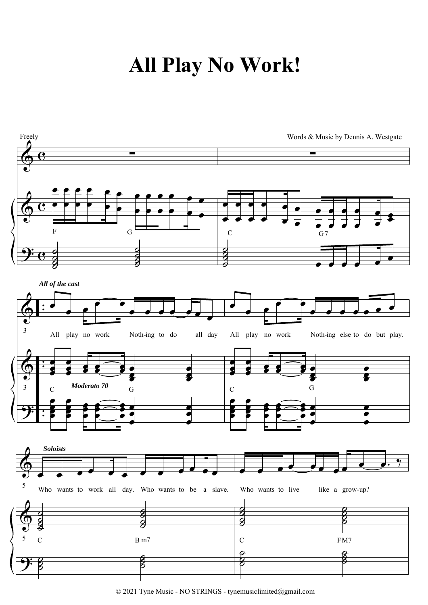## **All Play No Work!**